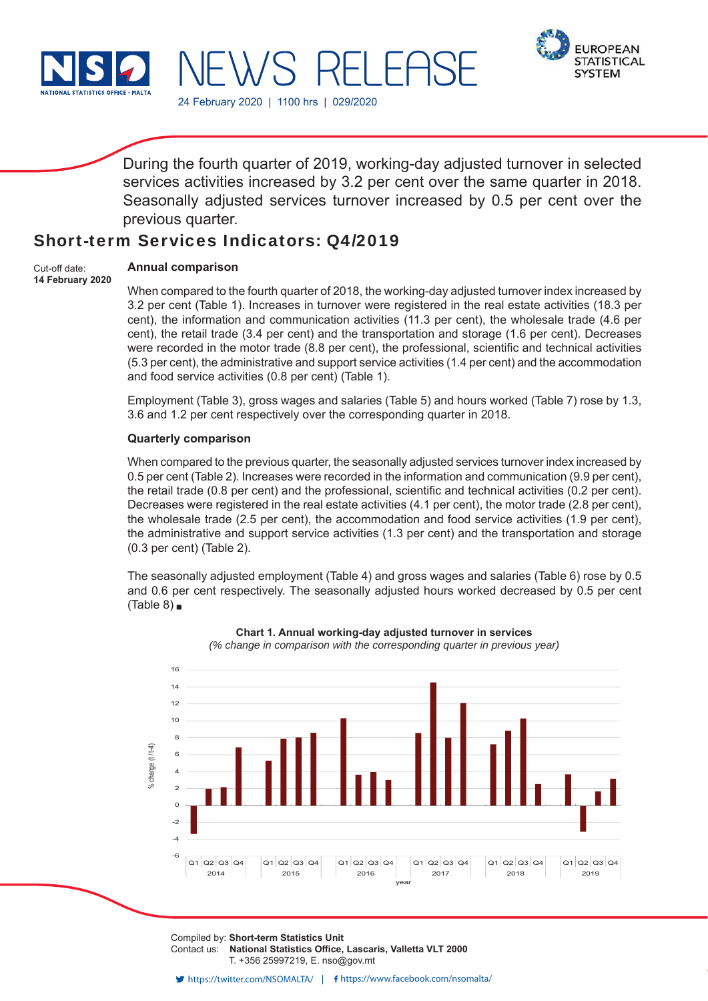

24 February 2020 | 1100 hrs | 029/2020



During the fourth quarter of 2019, working-day adjusted turnover in selected services activities increased by 3.2 per cent over the same quarter in 2018. Seasonally adjusted services turnover increased by 0.5 per cent over the previous quarter.

# Short-term Services Indicators: Q4/2019

Cut-off date: **14 February 2020**

# **Annual comparison**

When compared to the fourth quarter of 2018, the working-day adjusted turnover index increased by 3.2 per cent (Table 1). Increases in turnover were registered in the real estate activities (18.3 per cent), the information and communication activities (11.3 per cent), the wholesale trade (4.6 per cent), the retail trade (3.4 per cent) and the transportation and storage (1.6 per cent). Decreases were recorded in the motor trade (8.8 per cent), the professional, scientific and technical activities (5.3 per cent), the administrative and support service activities (1.4 per cent) and the accommodation and food service activities (0.8 per cent) (Table 1).

Employment (Table 3), gross wages and salaries (Table 5) and hours worked (Table 7) rose by 1.3, 3.6 and 1.2 per cent respectively over the corresponding quarter in 2018.

## **Quarterly comparison**

When compared to the previous quarter, the seasonally adjusted services turnover index increased by 0.5 per cent (Table 2). Increases were recorded in the information and communication (9.9 per cent), the retail trade  $(0.8$  per cent) and the professional, scientific and technical activities  $(0.2$  per cent). Decreases were registered in the real estate activities (4.1 per cent), the motor trade (2.8 per cent), the wholesale trade (2.5 per cent), the accommodation and food service activities (1.9 per cent), the administrative and support service activities (1.3 per cent) and the transportation and storage (0.3 per cent) (Table 2).

The seasonally adjusted employment (Table 4) and gross wages and salaries (Table 6) rose by 0.5 and 0.6 per cent respectively. The seasonally adjusted hours worked decreased by 0.5 per cent  $(Table 8)$ 



**Chart 1. Annual working-day adjusted turnover in services** *(% change in comparison with the corresponding quarter in previous year)*

Compiled by: **Short-term Statistics Unit** Contact us: National Statistics Office, Lascaris, Valletta VLT 2000 T. +356 25997219, E. nso@gov.mt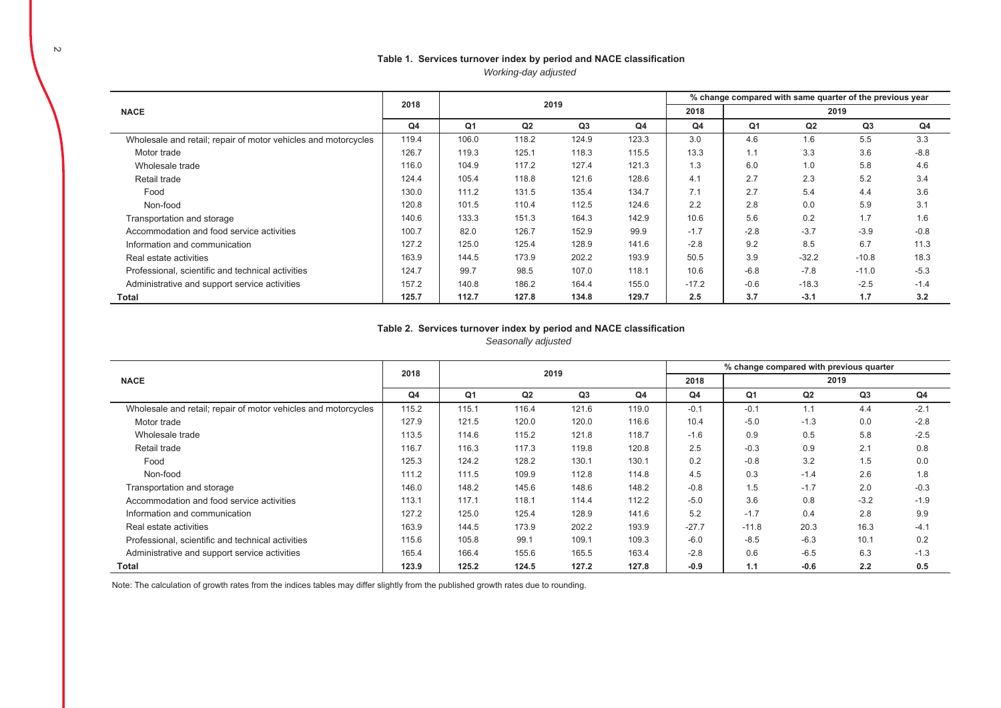# Table 1. Services turnover index by period and NACE classification

*Working-day adjusted*

|                                                                | 2018           |                |                | 2019  |       | % change compared with same quarter of the previous year |                |         |         |        |  |  |
|----------------------------------------------------------------|----------------|----------------|----------------|-------|-------|----------------------------------------------------------|----------------|---------|---------|--------|--|--|
| <b>NACE</b>                                                    |                |                |                |       |       | 2018                                                     | 2019           |         |         |        |  |  |
|                                                                | Q <sub>4</sub> | Q <sub>1</sub> | Q <sub>2</sub> | Q3    | Q4    | Q4                                                       | Q <sub>1</sub> | Q2      | Q3      | Q4     |  |  |
| Wholesale and retail; repair of motor vehicles and motorcycles | 119.4          | 106.0          | 118.2          | 124.9 | 123.3 | 3.0                                                      | 4.6            | 1.6     | 5.5     | 3.3    |  |  |
| Motor trade                                                    | 126.7          | 119.3          | 125.1          | 118.3 | 115.5 | 13.3                                                     | 1.1            | 3.3     | 3.6     | $-8.8$ |  |  |
| Wholesale trade                                                | 116.0          | 104.9          | 117.2          | 127.4 | 121.3 | 1.3                                                      | 6.0            | 1.0     | 5.8     | 4.6    |  |  |
| Retail trade                                                   | 124.4          | 105.4          | 118.8          | 121.6 | 128.6 | 4.1                                                      | 2.7            | 2.3     | 5.2     | 3.4    |  |  |
| Food                                                           | 130.0          | 111.2          | 131.5          | 135.4 | 134.7 | 7.1                                                      | 2.7            | 5.4     | 4.4     | 3.6    |  |  |
| Non-food                                                       | 120.8          | 101.5          | 110.4          | 112.5 | 124.6 | 2.2                                                      | 2.8            | 0.0     | 5.9     | 3.1    |  |  |
| Transportation and storage                                     | 140.6          | 133.3          | 151.3          | 164.3 | 142.9 | 10.6                                                     | 5.6            | 0.2     | 1.7     | 1.6    |  |  |
| Accommodation and food service activities                      | 100.7          | 82.0           | 126.7          | 152.9 | 99.9  | $-1.7$                                                   | $-2.8$         | $-3.7$  | $-3.9$  | $-0.8$ |  |  |
| Information and communication                                  | 127.2          | 125.0          | 125.4          | 128.9 | 141.6 | $-2.8$                                                   | 9.2            | 8.5     | 6.7     | 11.3   |  |  |
| Real estate activities                                         | 163.9          | 144.5          | 173.9          | 202.2 | 193.9 | 50.5                                                     | 3.9            | $-32.2$ | $-10.8$ | 18.3   |  |  |
| Professional, scientific and technical activities              | 124.7          | 99.7           | 98.5           | 107.0 | 118.1 | 10.6                                                     | $-6.8$         | $-7.8$  | $-11.0$ | $-5.3$ |  |  |
| Administrative and support service activities                  | 157.2          | 140.8          | 186.2          | 164.4 | 155.0 | $-17.2$                                                  | $-0.6$         | $-18.3$ | $-2.5$  | $-1.4$ |  |  |
| Total                                                          | 125.7          | 112.7          | 127.8          | 134.8 | 129.7 | 2.5                                                      | 3.7            | $-3.1$  | 1.7     | 3.2    |  |  |

## Table 2. Services turnover index by period and NACE classification

*Seasonally adjusted* 

|                                                                | 2018           |       |       | 2019  |       | % change compared with previous quarter |                |                |                |        |  |  |
|----------------------------------------------------------------|----------------|-------|-------|-------|-------|-----------------------------------------|----------------|----------------|----------------|--------|--|--|
| <b>NACE</b>                                                    |                |       |       |       |       | 2018                                    | 2019           |                |                |        |  |  |
|                                                                | Q <sub>4</sub> | Q1    | Q2    | Q3    | Q4    | Q4                                      | Q <sub>1</sub> | Q <sub>2</sub> | Q <sub>3</sub> | Q4     |  |  |
| Wholesale and retail; repair of motor vehicles and motorcycles | 115.2          | 115.1 | 116.4 | 121.6 | 119.0 | $-0.1$                                  | $-0.1$         | 1.1            | 4.4            | $-2.1$ |  |  |
| Motor trade                                                    | 127.9          | 121.5 | 120.0 | 120.0 | 116.6 | 10.4                                    | $-5.0$         | $-1.3$         | 0.0            | $-2.8$ |  |  |
| Wholesale trade                                                | 113.5          | 114.6 | 115.2 | 121.8 | 118.7 | $-1.6$                                  | 0.9            | 0.5            | 5.8            | $-2.5$ |  |  |
| Retail trade                                                   | 116.7          | 116.3 | 117.3 | 119.8 | 120.8 | 2.5                                     | $-0.3$         | 0.9            | 2.1            | 0.8    |  |  |
| Food                                                           | 125.3          | 124.2 | 128.2 | 130.1 | 130.1 | 0.2                                     | $-0.8$         | 3.2            | 1.5            | 0.0    |  |  |
| Non-food                                                       | 111.2          | 111.5 | 109.9 | 112.8 | 114.8 | 4.5                                     | 0.3            | $-1.4$         | 2.6            | 1.8    |  |  |
| Transportation and storage                                     | 146.0          | 148.2 | 145.6 | 148.6 | 148.2 | $-0.8$                                  | 1.5            | $-1.7$         | 2.0            | $-0.3$ |  |  |
| Accommodation and food service activities                      | 113.1          | 117.1 | 118.1 | 114.4 | 112.2 | $-5.0$                                  | 3.6            | 0.8            | $-3.2$         | $-1.9$ |  |  |
| Information and communication                                  | 127.2          | 125.0 | 125.4 | 128.9 | 141.6 | 5.2                                     | $-1.7$         | 0.4            | 2.8            | 9.9    |  |  |
| Real estate activities                                         | 163.9          | 144.5 | 173.9 | 202.2 | 193.9 | $-27.7$                                 | $-11.8$        | 20.3           | 16.3           | $-4.1$ |  |  |
| Professional, scientific and technical activities              | 115.6          | 105.8 | 99.1  | 109.1 | 109.3 | $-6.0$                                  | $-8.5$         | $-6.3$         | 10.1           | 0.2    |  |  |
| Administrative and support service activities                  | 165.4          | 166.4 | 155.6 | 165.5 | 163.4 | $-2.8$                                  | 0.6            | $-6.5$         | 6.3            | $-1.3$ |  |  |
| <b>Total</b>                                                   | 123.9          | 125.2 | 124.5 | 127.2 | 127.8 | $-0.9$                                  | 1.1            | $-0.6$         | 2.2            | 0.5    |  |  |

Note: The calculation of growth rates from the indices tables may differ slightly from the published growth rates due to rounding.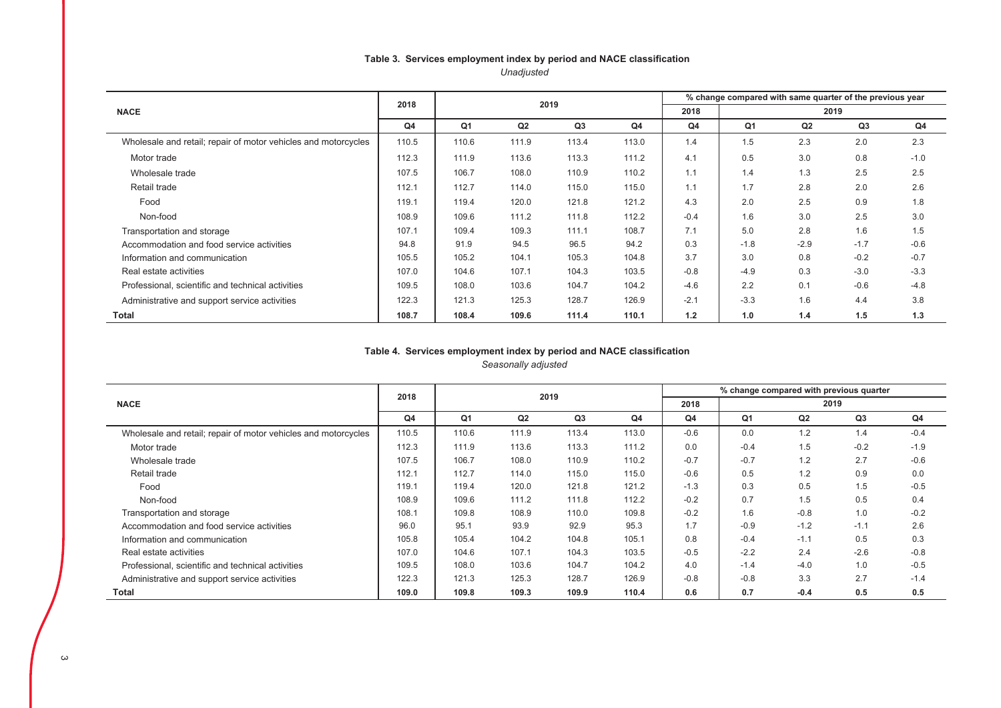## Table 3. Services employment index by period and NACE classification *Unadjusted*

|                                                                | 2018  |       |       | 2019           |       | % change compared with same quarter of the previous year |        |        |        |        |  |  |
|----------------------------------------------------------------|-------|-------|-------|----------------|-------|----------------------------------------------------------|--------|--------|--------|--------|--|--|
| <b>NACE</b>                                                    |       |       |       |                |       | 2018                                                     | 2019   |        |        |        |  |  |
|                                                                | Q4    | Q1    | Q2    | Q <sub>3</sub> | Q4    | Q4                                                       | Q1     | Q2     | Q3     | Q4     |  |  |
| Wholesale and retail; repair of motor vehicles and motorcycles | 110.5 | 110.6 | 111.9 | 113.4          | 113.0 | 1.4                                                      | 1.5    | 2.3    | 2.0    | 2.3    |  |  |
| Motor trade                                                    | 112.3 | 111.9 | 113.6 | 113.3          | 111.2 | 4.1                                                      | 0.5    | 3.0    | 0.8    | $-1.0$ |  |  |
| Wholesale trade                                                | 107.5 | 106.7 | 108.0 | 110.9          | 110.2 | 1.1                                                      | 1.4    | 1.3    | 2.5    | 2.5    |  |  |
| Retail trade                                                   | 112.1 | 112.7 | 114.0 | 115.0          | 115.0 | 1.1                                                      | 1.7    | 2.8    | 2.0    | 2.6    |  |  |
| Food                                                           | 119.1 | 119.4 | 120.0 | 121.8          | 121.2 | 4.3                                                      | 2.0    | 2.5    | 0.9    | 1.8    |  |  |
| Non-food                                                       | 108.9 | 109.6 | 111.2 | 111.8          | 112.2 | $-0.4$                                                   | 1.6    | 3.0    | 2.5    | 3.0    |  |  |
| Transportation and storage                                     | 107.1 | 109.4 | 109.3 | 111.1          | 108.7 | 7.1                                                      | 5.0    | 2.8    | 1.6    | 1.5    |  |  |
| Accommodation and food service activities                      | 94.8  | 91.9  | 94.5  | 96.5           | 94.2  | 0.3                                                      | $-1.8$ | $-2.9$ | $-1.7$ | $-0.6$ |  |  |
| Information and communication                                  | 105.5 | 105.2 | 104.1 | 105.3          | 104.8 | 3.7                                                      | 3.0    | 0.8    | $-0.2$ | $-0.7$ |  |  |
| Real estate activities                                         | 107.0 | 104.6 | 107.1 | 104.3          | 103.5 | $-0.8$                                                   | $-4.9$ | 0.3    | $-3.0$ | $-3.3$ |  |  |
| Professional, scientific and technical activities              | 109.5 | 108.0 | 103.6 | 104.7          | 104.2 | $-4.6$                                                   | 2.2    | 0.1    | $-0.6$ | $-4.8$ |  |  |
| Administrative and support service activities                  | 122.3 | 121.3 | 125.3 | 128.7          | 126.9 | $-2.1$                                                   | $-3.3$ | 1.6    | 4.4    | 3.8    |  |  |
| <b>Total</b>                                                   | 108.7 | 108.4 | 109.6 | 111.4          | 110.1 | 1.2                                                      | 1.0    | 1.4    | 1.5    | 1.3    |  |  |

## Table 4. Services employment index by period and NACE classification

*Seasonally adjusted* 

|                                                                | 2018           |                |       | 2019  |       | % change compared with previous quarter |        |        |        |        |  |  |
|----------------------------------------------------------------|----------------|----------------|-------|-------|-------|-----------------------------------------|--------|--------|--------|--------|--|--|
| <b>NACE</b>                                                    |                |                |       |       |       | 2018                                    | 2019   |        |        |        |  |  |
|                                                                | Q <sub>4</sub> | Q <sub>1</sub> | Q2    | Q3    | Q4    | Q <sub>4</sub>                          | Q1     | Q2     | Q3     | Q4     |  |  |
| Wholesale and retail; repair of motor vehicles and motorcycles | 110.5          | 110.6          | 111.9 | 113.4 | 113.0 | $-0.6$                                  | 0.0    | 1.2    | 1.4    | $-0.4$ |  |  |
| Motor trade                                                    | 112.3          | 111.9          | 113.6 | 113.3 | 111.2 | 0.0                                     | $-0.4$ | 1.5    | $-0.2$ | $-1.9$ |  |  |
| Wholesale trade                                                | 107.5          | 106.7          | 108.0 | 110.9 | 110.2 | $-0.7$                                  | $-0.7$ | 1.2    | 2.7    | $-0.6$ |  |  |
| Retail trade                                                   | 112.1          | 112.7          | 114.0 | 115.0 | 115.0 | $-0.6$                                  | 0.5    | 1.2    | 0.9    | 0.0    |  |  |
| Food                                                           | 119.1          | 119.4          | 120.0 | 121.8 | 121.2 | $-1.3$                                  | 0.3    | 0.5    | 1.5    | $-0.5$ |  |  |
| Non-food                                                       | 108.9          | 109.6          | 111.2 | 111.8 | 112.2 | $-0.2$                                  | 0.7    | 1.5    | 0.5    | 0.4    |  |  |
| Transportation and storage                                     | 108.1          | 109.8          | 108.9 | 110.0 | 109.8 | $-0.2$                                  | 1.6    | $-0.8$ | 1.0    | $-0.2$ |  |  |
| Accommodation and food service activities                      | 96.0           | 95.1           | 93.9  | 92.9  | 95.3  | 1.7                                     | $-0.9$ | $-1.2$ | $-1.1$ | 2.6    |  |  |
| Information and communication                                  | 105.8          | 105.4          | 104.2 | 104.8 | 105.1 | 0.8                                     | $-0.4$ | $-1.1$ | 0.5    | 0.3    |  |  |
| Real estate activities                                         | 107.0          | 104.6          | 107.1 | 104.3 | 103.5 | $-0.5$                                  | $-2.2$ | 2.4    | $-2.6$ | $-0.8$ |  |  |
| Professional, scientific and technical activities              | 109.5          | 108.0          | 103.6 | 104.7 | 104.2 | 4.0                                     | $-1.4$ | $-4.0$ | 1.0    | $-0.5$ |  |  |
| Administrative and support service activities                  | 122.3          | 121.3          | 125.3 | 128.7 | 126.9 | $-0.8$                                  | $-0.8$ | 3.3    | 2.7    | $-1.4$ |  |  |
| Total                                                          | 109.0          | 109.8          | 109.3 | 109.9 | 110.4 | 0.6                                     | 0.7    | $-0.4$ | 0.5    | 0.5    |  |  |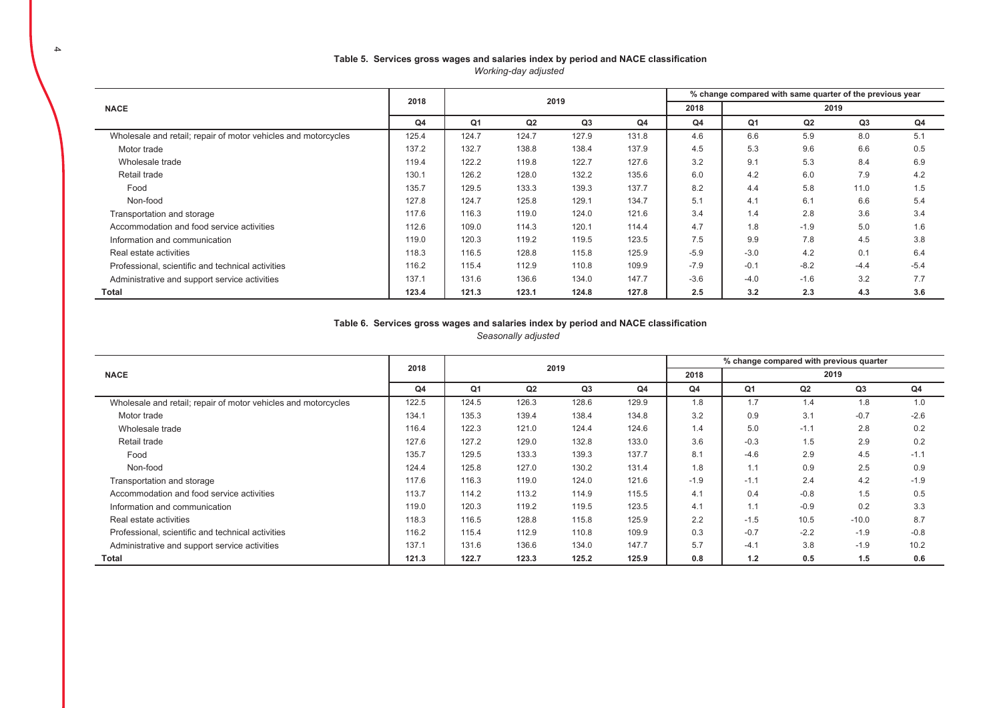|                                                                |                |                |       |       |                |        | % change compared with same quarter of the previous year |        |        |        |  |  |  |
|----------------------------------------------------------------|----------------|----------------|-------|-------|----------------|--------|----------------------------------------------------------|--------|--------|--------|--|--|--|
| <b>NACE</b>                                                    | 2018           |                |       | 2019  |                | 2018   | 2019                                                     |        |        |        |  |  |  |
|                                                                | Q <sub>4</sub> | Q <sub>1</sub> | Q2    | Q3    | Q <sub>4</sub> | Q4     | Q <sub>1</sub>                                           | Q2     | Q3     | Q4     |  |  |  |
| Wholesale and retail; repair of motor vehicles and motorcycles | 125.4          | 124.7          | 124.7 | 127.9 | 131.8          | 4.6    | 6.6                                                      | 5.9    | 8.0    | 5.1    |  |  |  |
| Motor trade                                                    | 137.2          | 132.7          | 138.8 | 138.4 | 137.9          | 4.5    | 5.3                                                      | 9.6    | 6.6    | 0.5    |  |  |  |
| Wholesale trade                                                | 119.4          | 122.2          | 119.8 | 122.7 | 127.6          | 3.2    | 9.1                                                      | 5.3    | 8.4    | 6.9    |  |  |  |
| Retail trade                                                   | 130.1          | 126.2          | 128.0 | 132.2 | 135.6          | 6.0    | 4.2                                                      | 6.0    | 7.9    | 4.2    |  |  |  |
| Food                                                           | 135.7          | 129.5          | 133.3 | 139.3 | 137.7          | 8.2    | 4.4                                                      | 5.8    | 11.0   | 1.5    |  |  |  |
| Non-food                                                       | 127.8          | 124.7          | 125.8 | 129.1 | 134.7          | 5.1    | 4.1                                                      | 6.1    | 6.6    | 5.4    |  |  |  |
| Transportation and storage                                     | 117.6          | 116.3          | 119.0 | 124.0 | 121.6          | 3.4    | 1.4                                                      | 2.8    | 3.6    | 3.4    |  |  |  |
| Accommodation and food service activities                      | 112.6          | 109.0          | 114.3 | 120.1 | 114.4          | 4.7    | 1.8                                                      | $-1.9$ | 5.0    | 1.6    |  |  |  |
| Information and communication                                  | 119.0          | 120.3          | 119.2 | 119.5 | 123.5          | 7.5    | 9.9                                                      | 7.8    | 4.5    | 3.8    |  |  |  |
| Real estate activities                                         | 118.3          | 116.5          | 128.8 | 115.8 | 125.9          | $-5.9$ | $-3.0$                                                   | 4.2    | 0.1    | 6.4    |  |  |  |
| Professional, scientific and technical activities              | 116.2          | 115.4          | 112.9 | 110.8 | 109.9          | $-7.9$ | $-0.1$                                                   | $-8.2$ | $-4.4$ | $-5.4$ |  |  |  |
| Administrative and support service activities                  | 137.1          | 131.6          | 136.6 | 134.0 | 147.7          | $-3.6$ | $-4.0$                                                   | $-1.6$ | 3.2    | 7.7    |  |  |  |
| Total                                                          | 123.4          | 121.3          | 123.1 | 124.8 | 127.8          | 2.5    | 3.2                                                      | 2.3    | 4.3    | 3.6    |  |  |  |

#### Table 5. Services gross wages and salaries index by period and NACE classification *Working-day adjusted*

#### Table 6. Services gross wages and salaries index by period and NACE classification *Seasonally adjusted*

|                                                                | 2018           |                |       | 2019  |       | % change compared with previous quarter |                |        |                |                |  |  |
|----------------------------------------------------------------|----------------|----------------|-------|-------|-------|-----------------------------------------|----------------|--------|----------------|----------------|--|--|
| <b>NACE</b>                                                    |                |                |       |       |       | 2018                                    | 2019           |        |                |                |  |  |
|                                                                | Q <sub>4</sub> | Q <sub>1</sub> | Q2    | Q3    | Q4    | Q <sub>4</sub>                          | Q <sub>1</sub> | Q2     | Q <sub>3</sub> | Q <sub>4</sub> |  |  |
| Wholesale and retail; repair of motor vehicles and motorcycles | 122.5          | 124.5          | 126.3 | 128.6 | 129.9 | 1.8                                     | 1.7            | 1.4    | 1.8            | 1.0            |  |  |
| Motor trade                                                    | 134.1          | 135.3          | 139.4 | 138.4 | 134.8 | 3.2                                     | 0.9            | 3.1    | $-0.7$         | $-2.6$         |  |  |
| Wholesale trade                                                | 116.4          | 122.3          | 121.0 | 124.4 | 124.6 | 1.4                                     | 5.0            | $-1.1$ | 2.8            | 0.2            |  |  |
| Retail trade                                                   | 127.6          | 127.2          | 129.0 | 132.8 | 133.0 | 3.6                                     | $-0.3$         | 1.5    | 2.9            | 0.2            |  |  |
| Food                                                           | 135.7          | 129.5          | 133.3 | 139.3 | 137.7 | 8.1                                     | $-4.6$         | 2.9    | 4.5            | $-1.1$         |  |  |
| Non-food                                                       | 124.4          | 125.8          | 127.0 | 130.2 | 131.4 | 1.8                                     | 1.1            | 0.9    | 2.5            | 0.9            |  |  |
| Transportation and storage                                     | 117.6          | 116.3          | 119.0 | 124.0 | 121.6 | $-1.9$                                  | $-1.1$         | 2.4    | 4.2            | $-1.9$         |  |  |
| Accommodation and food service activities                      | 113.7          | 114.2          | 113.2 | 114.9 | 115.5 | 4.1                                     | 0.4            | $-0.8$ | 1.5            | 0.5            |  |  |
| Information and communication                                  | 119.0          | 120.3          | 119.2 | 119.5 | 123.5 | 4.1                                     | 1.1            | $-0.9$ | 0.2            | 3.3            |  |  |
| Real estate activities                                         | 118.3          | 116.5          | 128.8 | 115.8 | 125.9 | 2.2                                     | $-1.5$         | 10.5   | $-10.0$        | 8.7            |  |  |
| Professional, scientific and technical activities              | 116.2          | 115.4          | 112.9 | 110.8 | 109.9 | 0.3                                     | $-0.7$         | $-2.2$ | $-1.9$         | $-0.8$         |  |  |
| Administrative and support service activities                  | 137.1          | 131.6          | 136.6 | 134.0 | 147.7 | 5.7                                     | $-4.1$         | 3.8    | $-1.9$         | 10.2           |  |  |
| Total                                                          | 121.3          | 122.7          | 123.3 | 125.2 | 125.9 | 0.8                                     | 1.2            | 0.5    | 1.5            | 0.6            |  |  |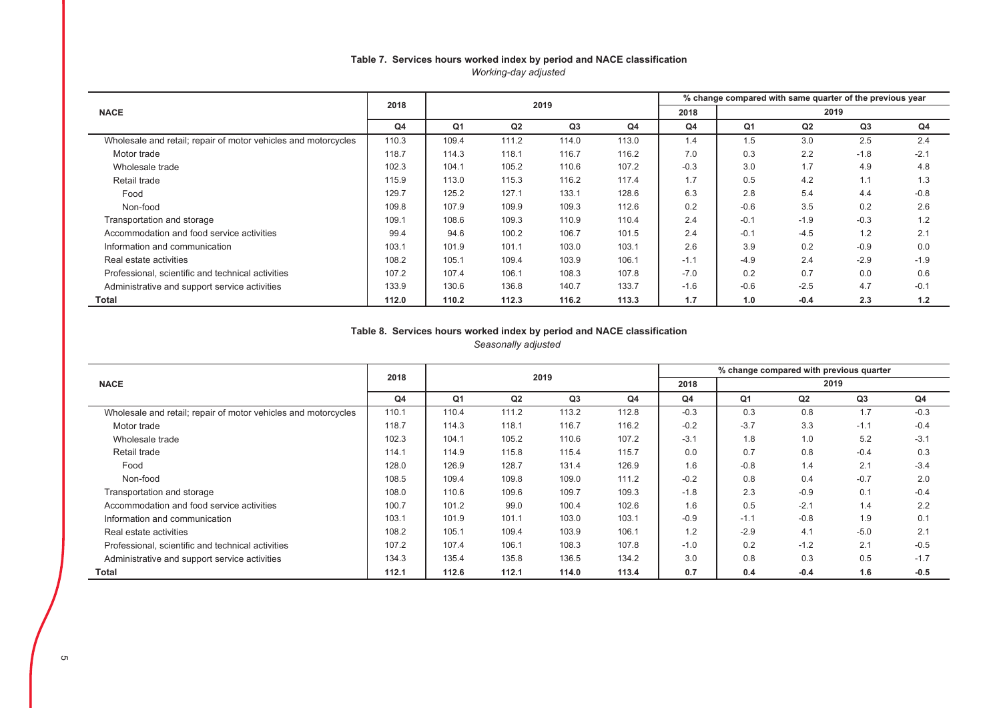### Table 7. Services hours worked index by period and NACE classification *Working-day adjusted*

|                                                                | 2018           |       |                | 2019  |       | % change compared with same quarter of the previous year |        |                |        |        |  |  |
|----------------------------------------------------------------|----------------|-------|----------------|-------|-------|----------------------------------------------------------|--------|----------------|--------|--------|--|--|
| <b>NACE</b>                                                    |                |       |                |       |       | 2018                                                     | 2019   |                |        |        |  |  |
|                                                                | Q <sub>4</sub> | Q1    | Q <sub>2</sub> | Q3    | Q4    | Q4                                                       | Q1     | Q <sub>2</sub> | Q3     | Q4     |  |  |
| Wholesale and retail; repair of motor vehicles and motorcycles | 110.3          | 109.4 | 111.2          | 114.0 | 113.0 | 1.4                                                      | 1.5    | 3.0            | 2.5    | 2.4    |  |  |
| Motor trade                                                    | 118.7          | 114.3 | 118.1          | 116.7 | 116.2 | 7.0                                                      | 0.3    | 2.2            | $-1.8$ | $-2.1$ |  |  |
| Wholesale trade                                                | 102.3          | 104.1 | 105.2          | 110.6 | 107.2 | $-0.3$                                                   | 3.0    | 1.7            | 4.9    | 4.8    |  |  |
| Retail trade                                                   | 115.9          | 113.0 | 115.3          | 116.2 | 117.4 | 1.7                                                      | 0.5    | 4.2            | 1.1    | 1.3    |  |  |
| Food                                                           | 129.7          | 125.2 | 127.1          | 133.1 | 128.6 | 6.3                                                      | 2.8    | 5.4            | 4.4    | $-0.8$ |  |  |
| Non-food                                                       | 109.8          | 107.9 | 109.9          | 109.3 | 112.6 | 0.2                                                      | $-0.6$ | 3.5            | 0.2    | 2.6    |  |  |
| Transportation and storage                                     | 109.1          | 108.6 | 109.3          | 110.9 | 110.4 | 2.4                                                      | $-0.1$ | $-1.9$         | $-0.3$ | 1.2    |  |  |
| Accommodation and food service activities                      | 99.4           | 94.6  | 100.2          | 106.7 | 101.5 | 2.4                                                      | $-0.1$ | $-4.5$         | 1.2    | 2.1    |  |  |
| Information and communication                                  | 103.1          | 101.9 | 101.1          | 103.0 | 103.1 | 2.6                                                      | 3.9    | 0.2            | $-0.9$ | 0.0    |  |  |
| Real estate activities                                         | 108.2          | 105.1 | 109.4          | 103.9 | 106.1 | $-1.1$                                                   | $-4.9$ | 2.4            | $-2.9$ | $-1.9$ |  |  |
| Professional, scientific and technical activities              | 107.2          | 107.4 | 106.1          | 108.3 | 107.8 | $-7.0$                                                   | 0.2    | 0.7            | 0.0    | 0.6    |  |  |
| Administrative and support service activities                  | 133.9          | 130.6 | 136.8          | 140.7 | 133.7 | $-1.6$                                                   | $-0.6$ | $-2.5$         | 4.7    | $-0.1$ |  |  |
| Total                                                          | 112.0          | 110.2 | 112.3          | 116.2 | 113.3 | 1.7                                                      | 1.0    | $-0.4$         | 2.3    | 1.2    |  |  |

## Table 8. Services hours worked index by period and NACE classification

*Seasonally adjusted* 

|                                                                | 2018           |       |       | 2019  |       | % change compared with previous quarter |        |        |                |        |  |  |
|----------------------------------------------------------------|----------------|-------|-------|-------|-------|-----------------------------------------|--------|--------|----------------|--------|--|--|
| <b>NACE</b>                                                    |                |       |       |       |       | 2018                                    | 2019   |        |                |        |  |  |
|                                                                | Q <sub>4</sub> | Q1    | Q2    | Q3    | Q4    | Q4                                      | Q1     | Q2     | Q <sub>3</sub> | Q4     |  |  |
| Wholesale and retail; repair of motor vehicles and motorcycles | 110.1          | 110.4 | 111.2 | 113.2 | 112.8 | $-0.3$                                  | 0.3    | 0.8    | 1.7            | $-0.3$ |  |  |
| Motor trade                                                    | 118.7          | 114.3 | 118.1 | 116.7 | 116.2 | $-0.2$                                  | $-3.7$ | 3.3    | $-1.1$         | $-0.4$ |  |  |
| Wholesale trade                                                | 102.3          | 104.1 | 105.2 | 110.6 | 107.2 | $-3.1$                                  | 1.8    | 1.0    | 5.2            | $-3.1$ |  |  |
| Retail trade                                                   | 114.1          | 114.9 | 115.8 | 115.4 | 115.7 | 0.0                                     | 0.7    | 0.8    | $-0.4$         | 0.3    |  |  |
| Food                                                           | 128.0          | 126.9 | 128.7 | 131.4 | 126.9 | 1.6                                     | $-0.8$ | 1.4    | 2.1            | $-3.4$ |  |  |
| Non-food                                                       | 108.5          | 109.4 | 109.8 | 109.0 | 111.2 | $-0.2$                                  | 0.8    | 0.4    | $-0.7$         | 2.0    |  |  |
| Transportation and storage                                     | 108.0          | 110.6 | 109.6 | 109.7 | 109.3 | $-1.8$                                  | 2.3    | $-0.9$ | 0.1            | $-0.4$ |  |  |
| Accommodation and food service activities                      | 100.7          | 101.2 | 99.0  | 100.4 | 102.6 | 1.6                                     | 0.5    | $-2.1$ | 1.4            | 2.2    |  |  |
| Information and communication                                  | 103.1          | 101.9 | 101.1 | 103.0 | 103.1 | $-0.9$                                  | $-1.1$ | $-0.8$ | 1.9            | 0.1    |  |  |
| Real estate activities                                         | 108.2          | 105.1 | 109.4 | 103.9 | 106.1 | 1.2                                     | $-2.9$ | 4.1    | $-5.0$         | 2.1    |  |  |
| Professional, scientific and technical activities              | 107.2          | 107.4 | 106.1 | 108.3 | 107.8 | $-1.0$                                  | 0.2    | $-1.2$ | 2.1            | $-0.5$ |  |  |
| Administrative and support service activities                  | 134.3          | 135.4 | 135.8 | 136.5 | 134.2 | 3.0                                     | 0.8    | 0.3    | 0.5            | $-1.7$ |  |  |
| Total                                                          | 112.1          | 112.6 | 112.1 | 114.0 | 113.4 | 0.7                                     | 0.4    | $-0.4$ | 1.6            | $-0.5$ |  |  |